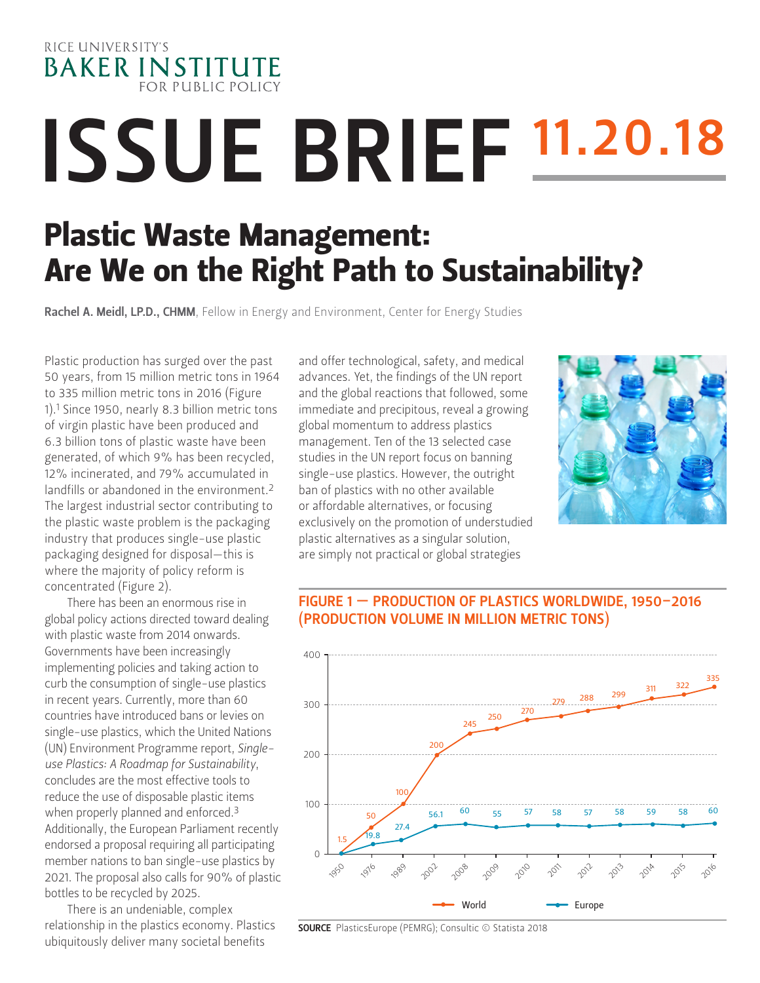

# **ISSUE BRIEF 11.20.18**

# Plastic Waste Management: Are We on the Right Path to Sustainability?

Rachel A. Meidl, LP.D., CHMM[, Fellow in Energy and Environment, Center for Energy Studies](https://www.bakerinstitute.org/experts/rachel-a-meidl/)

Plastic production has surged over the past 50 years, from 15 million metric tons in 1964 to 335 million metric tons in 2016 (Figure 1).1 Since 1950, nearly 8.3 billion metric tons of virgin plastic have been produced and 6.3 billion tons of plastic waste have been generated, of which 9% has been recycled, 12% incinerated, and 79% accumulated in landfills or abandoned in the environment.2 The largest industrial sector contributing to the plastic waste problem is the packaging industry that produces single-use plastic packaging designed for disposal—this is where the majority of policy reform is concentrated (Figure 2).

There has been an enormous rise in global policy actions directed toward dealing with plastic waste from 2014 onwards. Governments have been increasingly implementing policies and taking action to curb the consumption of single-use plastics in recent years. Currently, more than 60 countries have introduced bans or levies on single-use plastics, which the United Nations (UN) Environment Programme report, *Singleuse Plastics: A Roadmap for Sustainability*, concludes are the most effective tools to reduce the use of disposable plastic items when properly planned and enforced.<sup>3</sup> Additionally, the European Parliament recently endorsed a proposal requiring all participating member nations to ban single-use plastics by 2021. The proposal also calls for 90% of plastic bottles to be recycled by 2025.

There is an undeniable, complex relationship in the plastics economy. Plastics ubiquitously deliver many societal benefits

and offer technological, safety, and medical advances. Yet, the findings of the UN report and the global reactions that followed, some immediate and precipitous, reveal a growing global momentum to address plastics management. Ten of the 13 selected case studies in the UN report focus on banning single-use plastics. However, the outright ban of plastics with no other available or affordable alternatives, or focusing exclusively on the promotion of understudied plastic alternatives as a singular solution, are simply not practical or global strategies



## FIGURE 1 — PRODUCTION OF PLASTICS WORLDWIDE, 1950–2016 (PRODUCTION VOLUME IN MILLION METRIC TONS)



SOURCE PlasticsEurope (PEMRG); Consultic © Statista 2018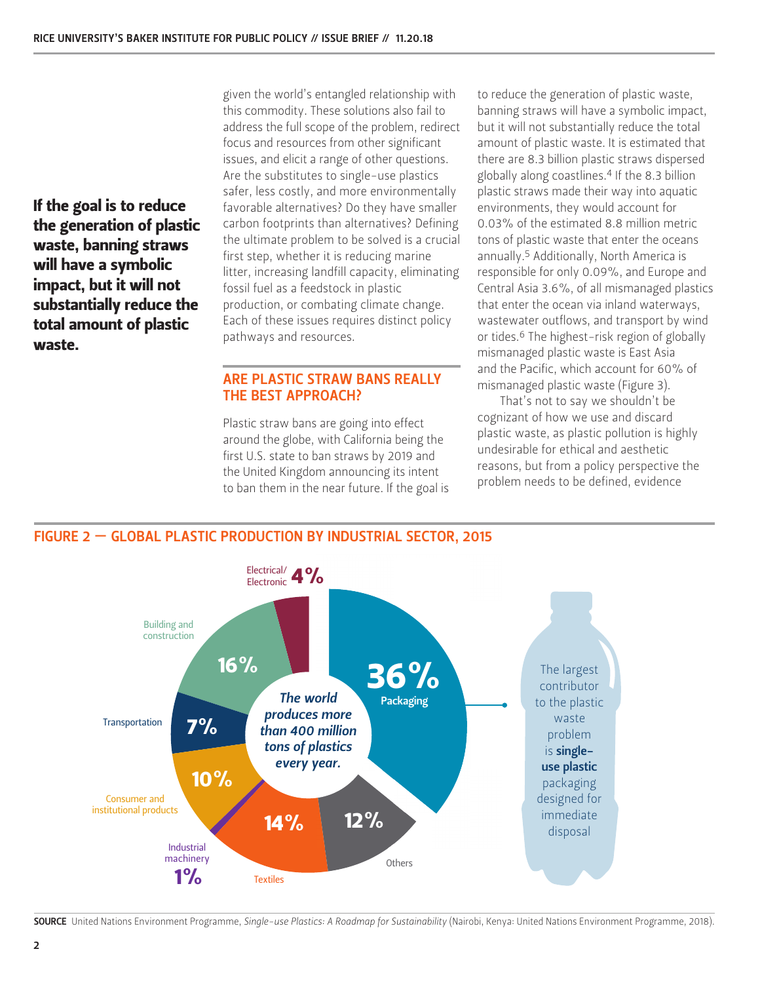If the goal is to reduce the generation of plastic waste, banning straws will have a symbolic impact, but it will not substantially reduce the total amount of plastic waste.

given the world's entangled relationship with this commodity. These solutions also fail to address the full scope of the problem, redirect focus and resources from other significant issues, and elicit a range of other questions. Are the substitutes to single-use plastics safer, less costly, and more environmentally favorable alternatives? Do they have smaller carbon footprints than alternatives? Defining the ultimate problem to be solved is a crucial first step, whether it is reducing marine litter, increasing landfill capacity, eliminating fossil fuel as a feedstock in plastic production, or combating climate change. Each of these issues requires distinct policy pathways and resources.

## ARE PLASTIC STRAW BANS REALLY THE BEST APPROACH?

Plastic straw bans are going into effect around the globe, with California being the first U.S. state to ban straws by 2019 and the United Kingdom announcing its intent to ban them in the near future. If the goal is to reduce the generation of plastic waste, banning straws will have a symbolic impact, but it will not substantially reduce the total amount of plastic waste. It is estimated that there are 8.3 billion plastic straws dispersed globally along coastlines.4 If the 8.3 billion plastic straws made their way into aquatic environments, they would account for 0.03% of the estimated 8.8 million metric tons of plastic waste that enter the oceans annually.5 Additionally, North America is responsible for only 0.09%, and Europe and Central Asia 3.6%, of all mismanaged plastics that enter the ocean via inland waterways, wastewater outflows, and transport by wind or tides.<sup>6</sup> The highest-risk region of globally mismanaged plastic waste is East Asia and the Pacific, which account for 60% of mismanaged plastic waste (Figure 3).

That's not to say we shouldn't be cognizant of how we use and discard plastic waste, as plastic pollution is highly undesirable for ethical and aesthetic reasons, but from a policy perspective the problem needs to be defined, evidence



#### SOURCE United Nations Environment Programme, *Single-use Plastics: A Roadmap for Sustainability* (Nairobi, Kenya: United Nations Environment Programme, 2018).

#### FIGURE 2 — GLOBAL PLASTIC PRODUCTION BY INDUSTRIAL SECTOR, 2015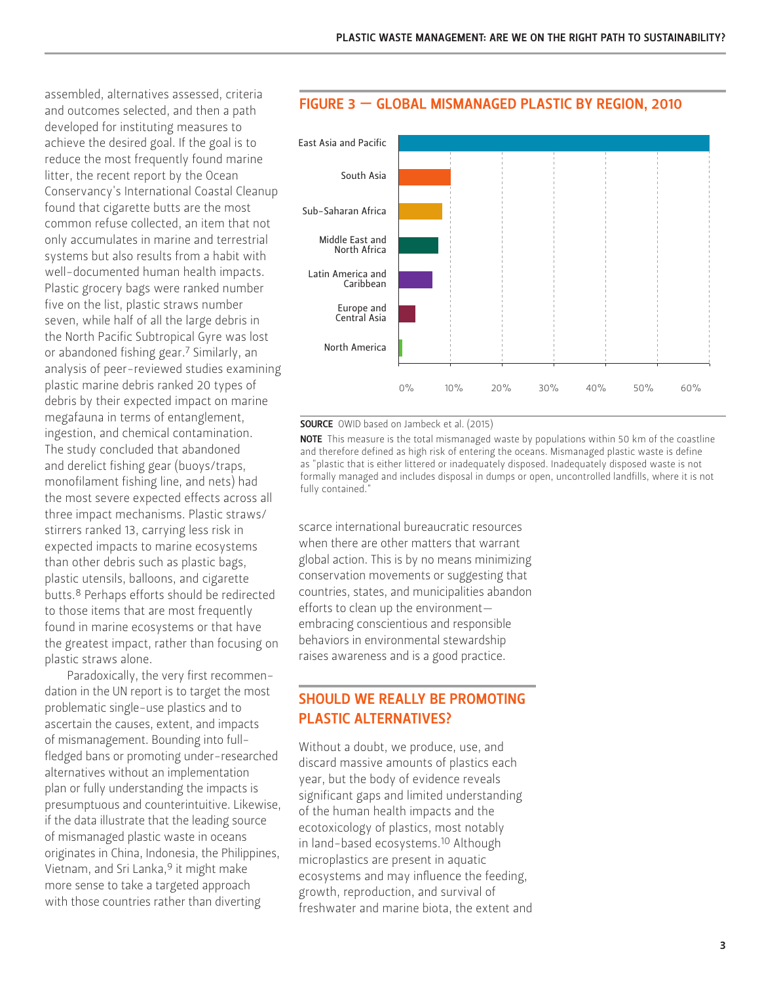assembled, alternatives assessed, criteria and outcomes selected, and then a path developed for instituting measures to achieve the desired goal. If the goal is to reduce the most frequently found marine litter, the recent report by the Ocean Conservancy's International Coastal Cleanup found that cigarette butts are the most common refuse collected, an item that not only accumulates in marine and terrestrial systems but also results from a habit with well-documented human health impacts. Plastic grocery bags were ranked number five on the list, plastic straws number seven, while half of all the large debris in the North Pacific Subtropical Gyre was lost or abandoned fishing gear.7 Similarly, an analysis of peer-reviewed studies examining plastic marine debris ranked 20 types of debris by their expected impact on marine megafauna in terms of entanglement, ingestion, and chemical contamination. The study concluded that abandoned and derelict fishing gear (buoys/traps, monofilament fishing line, and nets) had the most severe expected effects across all three impact mechanisms. Plastic straws/ stirrers ranked 13, carrying less risk in expected impacts to marine ecosystems than other debris such as plastic bags, plastic utensils, balloons, and cigarette butts.8 Perhaps efforts should be redirected to those items that are most frequently found in marine ecosystems or that have the greatest impact, rather than focusing on plastic straws alone.

Paradoxically, the very first recommendation in the UN report is to target the most problematic single-use plastics and to ascertain the causes, extent, and impacts of mismanagement. Bounding into fullfledged bans or promoting under-researched alternatives without an implementation plan or fully understanding the impacts is presumptuous and counterintuitive. Likewise, if the data illustrate that the leading source of mismanaged plastic waste in oceans originates in China, Indonesia, the Philippines, Vietnam, and Sri Lanka,<sup>9</sup> it might make more sense to take a targeted approach with those countries rather than diverting



#### FIGURE 3 — GLOBAL MISMANAGED PLASTIC BY REGION, 2010

SOURCE OWID based on Jambeck et al. (2015)

**NOTE** This measure is the total mismanaged waste by populations within 50 km of the coastline and therefore defined as high risk of entering the oceans. Mismanaged plastic waste is define as "plastic that is either littered or inadequately disposed. Inadequately disposed waste is not formally managed and includes disposal in dumps or open, uncontrolled landfills, where it is not fully contained."

scarce international bureaucratic resources when there are other matters that warrant global action. This is by no means minimizing conservation movements or suggesting that countries, states, and municipalities abandon efforts to clean up the environment embracing conscientious and responsible behaviors in environmental stewardship raises awareness and is a good practice.

# SHOULD WE REALLY BE PROMOTING PLASTIC ALTERNATIVES?

Without a doubt, we produce, use, and discard massive amounts of plastics each year, but the body of evidence reveals significant gaps and limited understanding of the human health impacts and the ecotoxicology of plastics, most notably in land-based ecosystems.<sup>10</sup> Although microplastics are present in aquatic ecosystems and may influence the feeding, growth, reproduction, and survival of freshwater and marine biota, the extent and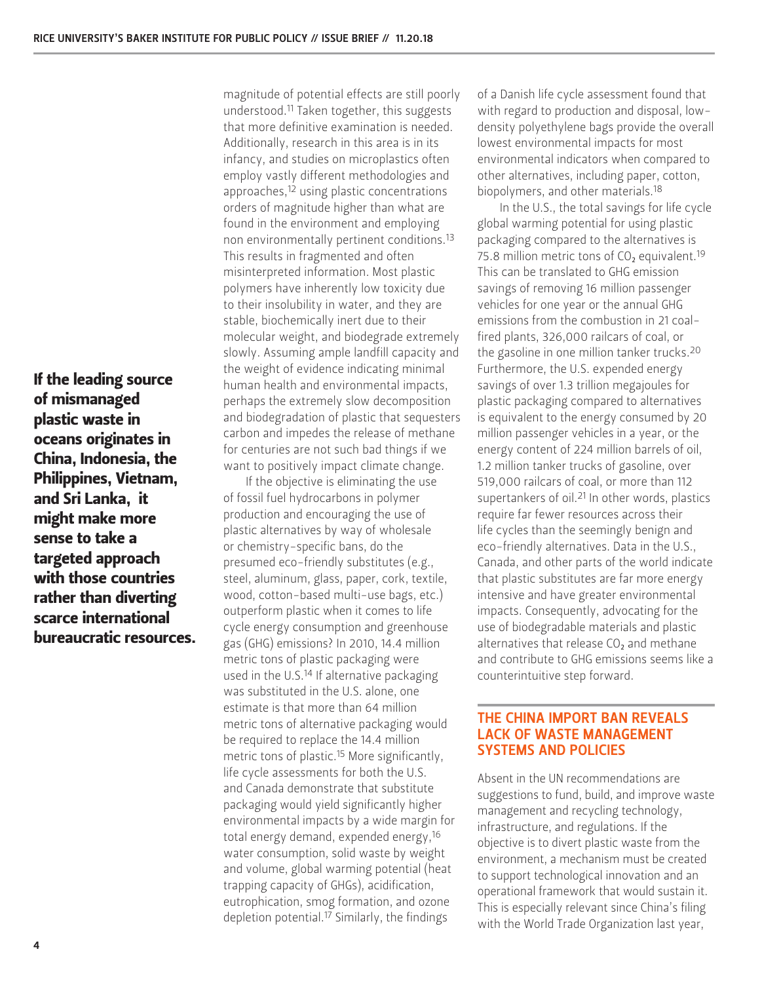If the leading source of mismanaged plastic waste in oceans originates in China, Indonesia, the Philippines, Vietnam, and Sri Lanka, it might make more sense to take a targeted approach with those countries rather than diverting scarce international bureaucratic resources.

magnitude of potential effects are still poorly understood.11 Taken together, this suggests that more definitive examination is needed. Additionally, research in this area is in its infancy, and studies on microplastics often employ vastly different methodologies and approaches,<sup>12</sup> using plastic concentrations orders of magnitude higher than what are found in the environment and employing non environmentally pertinent conditions.13 This results in fragmented and often misinterpreted information. Most plastic polymers have inherently low toxicity due to their insolubility in water, and they are stable, biochemically inert due to their molecular weight, and biodegrade extremely slowly. Assuming ample landfill capacity and the weight of evidence indicating minimal human health and environmental impacts, perhaps the extremely slow decomposition and biodegradation of plastic that sequesters carbon and impedes the release of methane for centuries are not such bad things if we want to positively impact climate change.

If the objective is eliminating the use of fossil fuel hydrocarbons in polymer production and encouraging the use of plastic alternatives by way of wholesale or chemistry-specific bans, do the presumed eco-friendly substitutes (e.g., steel, aluminum, glass, paper, cork, textile, wood, cotton-based multi-use bags, etc.) outperform plastic when it comes to life cycle energy consumption and greenhouse gas (GHG) emissions? In 2010, 14.4 million metric tons of plastic packaging were used in the U.S.<sup>14</sup> If alternative packaging was substituted in the U.S. alone, one estimate is that more than 64 million metric tons of alternative packaging would be required to replace the 14.4 million metric tons of plastic.15 More significantly, life cycle assessments for both the U.S. and Canada demonstrate that substitute packaging would yield significantly higher environmental impacts by a wide margin for total energy demand, expended energy,16 water consumption, solid waste by weight and volume, global warming potential (heat trapping capacity of GHGs), acidification, eutrophication, smog formation, and ozone depletion potential.17 Similarly, the findings

of a Danish life cycle assessment found that with regard to production and disposal, lowdensity polyethylene bags provide the overall lowest environmental impacts for most environmental indicators when compared to other alternatives, including paper, cotton, biopolymers, and other materials.18

In the U.S., the total savings for life cycle global warming potential for using plastic packaging compared to the alternatives is 75.8 million metric tons of  $CO<sub>2</sub>$  equivalent.<sup>19</sup> This can be translated to GHG emission savings of removing 16 million passenger vehicles for one year or the annual GHG emissions from the combustion in 21 coalfired plants, 326,000 railcars of coal, or the gasoline in one million tanker trucks.20 Furthermore, the U.S. expended energy savings of over 1.3 trillion megajoules for plastic packaging compared to alternatives is equivalent to the energy consumed by 20 million passenger vehicles in a year, or the energy content of 224 million barrels of oil, 1.2 million tanker trucks of gasoline, over 519,000 railcars of coal, or more than 112 supertankers of oil.21 In other words, plastics require far fewer resources across their life cycles than the seemingly benign and eco-friendly alternatives. Data in the U.S., Canada, and other parts of the world indicate that plastic substitutes are far more energy intensive and have greater environmental impacts. Consequently, advocating for the use of biodegradable materials and plastic alternatives that release  $CO<sub>2</sub>$  and methane and contribute to GHG emissions seems like a counterintuitive step forward.

#### THE CHINA IMPORT BAN REVEALS LACK OF WASTE MANAGEMENT SYSTEMS AND POLICIES

Absent in the UN recommendations are suggestions to fund, build, and improve waste management and recycling technology, infrastructure, and regulations. If the objective is to divert plastic waste from the environment, a mechanism must be created to support technological innovation and an operational framework that would sustain it. This is especially relevant since China's filing with the World Trade Organization last year,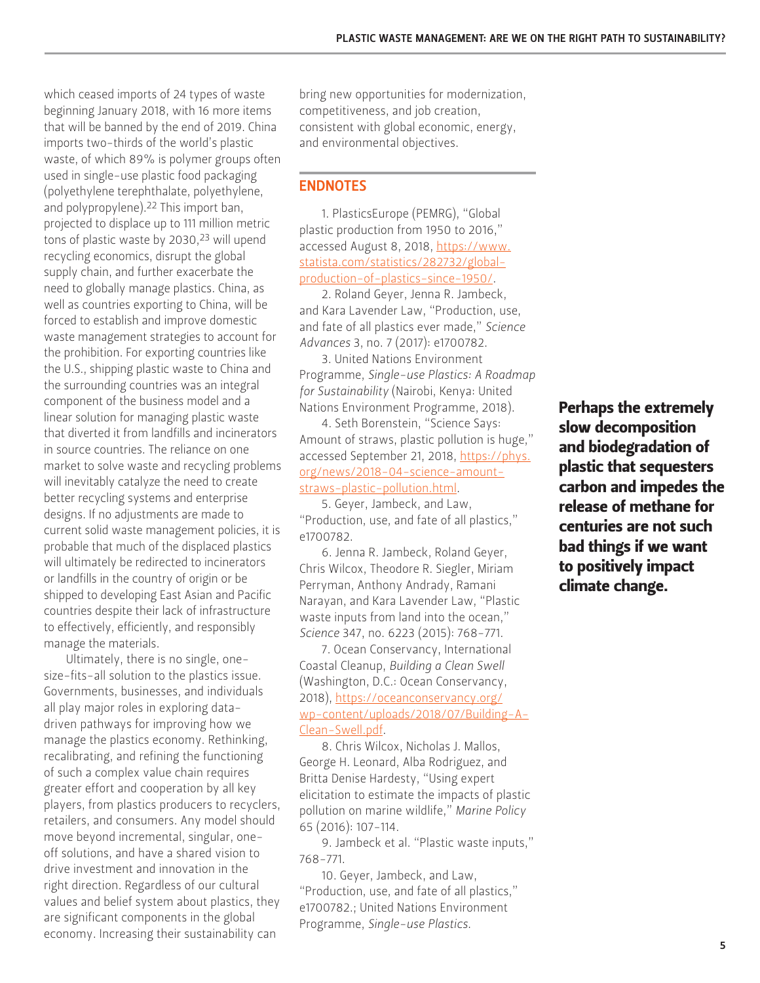which ceased imports of 24 types of waste beginning January 2018, with 16 more items that will be banned by the end of 2019. China imports two-thirds of the world's plastic waste, of which 89% is polymer groups often used in single-use plastic food packaging (polyethylene terephthalate, polyethylene, and polypropylene).22 This import ban, projected to displace up to 111 million metric tons of plastic waste by 2030,<sup>23</sup> will upend recycling economics, disrupt the global supply chain, and further exacerbate the need to globally manage plastics. China, as well as countries exporting to China, will be forced to establish and improve domestic waste management strategies to account for the prohibition. For exporting countries like the U.S., shipping plastic waste to China and the surrounding countries was an integral component of the business model and a linear solution for managing plastic waste that diverted it from landfills and incinerators in source countries. The reliance on one market to solve waste and recycling problems will inevitably catalyze the need to create better recycling systems and enterprise designs. If no adjustments are made to current solid waste management policies, it is probable that much of the displaced plastics will ultimately be redirected to incinerators or landfills in the country of origin or be shipped to developing East Asian and Pacific countries despite their lack of infrastructure to effectively, efficiently, and responsibly manage the materials.

Ultimately, there is no single, onesize-fits-all solution to the plastics issue. Governments, businesses, and individuals all play major roles in exploring datadriven pathways for improving how we manage the plastics economy. Rethinking, recalibrating, and refining the functioning of such a complex value chain requires greater effort and cooperation by all key players, from plastics producers to recyclers, retailers, and consumers. Any model should move beyond incremental, singular, oneoff solutions, and have a shared vision to drive investment and innovation in the right direction. Regardless of our cultural values and belief system about plastics, they are significant components in the global economy. Increasing their sustainability can

bring new opportunities for modernization, competitiveness, and job creation, consistent with global economic, energy, and environmental objectives.

#### ENDNOTES

1. PlasticsEurope (PEMRG), "Global plastic production from 1950 to 2016," accessed August 8, 2018, [https://www.](https://www.statista.com/statistics/282732/global-production-of-plastics-since-1950/) [statista.com/statistics/282732/global](https://www.statista.com/statistics/282732/global-production-of-plastics-since-1950/)[production-of-plastics-since-1950/](https://www.statista.com/statistics/282732/global-production-of-plastics-since-1950/).

2. Roland Geyer, Jenna R. Jambeck, and Kara Lavender Law, "Production, use, and fate of all plastics ever made," *Science Advances* 3, no. 7 (2017): e1700782.

3. United Nations Environment Programme, *Single-use Plastics: A Roadmap for Sustainability* (Nairobi, Kenya: United Nations Environment Programme, 2018).

4. Seth Borenstein, "Science Says: Amount of straws, plastic pollution is huge," accessed September 21, 2018, [https://phys.](https://phys.org/news/2018-04-science-amount-straws-plastic-pollution.html) [org/news/2018-04-science-amount](https://phys.org/news/2018-04-science-amount-straws-plastic-pollution.html)[straws-plastic-pollution.html](https://phys.org/news/2018-04-science-amount-straws-plastic-pollution.html).

5. Geyer, Jambeck, and Law, "Production, use, and fate of all plastics," e1700782.

6. Jenna R. Jambeck, Roland Geyer, Chris Wilcox, Theodore R. Siegler, Miriam Perryman, Anthony Andrady, Ramani Narayan, and Kara Lavender Law, "Plastic waste inputs from land into the ocean," *Science* 347, no. 6223 (2015): 768-771.

7. Ocean Conservancy, International Coastal Cleanup, *Building a Clean Swell* (Washington, D.C.: Ocean Conservancy, 2018), [https://oceanconservancy.org/](https://oceanconservancy.org/wp-content/uploads/2018/07/Building-A-Clean-Swell.pdf) [wp-content/uploads/2018/07/Building-A-](https://oceanconservancy.org/wp-content/uploads/2018/07/Building-A-Clean-Swell.pdf)[Clean-Swell.pdf.](https://oceanconservancy.org/wp-content/uploads/2018/07/Building-A-Clean-Swell.pdf)

8. Chris Wilcox, Nicholas J. Mallos, George H. Leonard, Alba Rodriguez, and Britta Denise Hardesty, "Using expert elicitation to estimate the impacts of plastic pollution on marine wildlife," *Marine Policy* 65 (2016): 107-114.

9. Jambeck et al. "Plastic waste inputs," 768-771.

10. Geyer, Jambeck, and Law, "Production, use, and fate of all plastics," e1700782.; United Nations Environment Programme, *Single-use Plastics*.

Perhaps the extremely slow decomposition and biodegradation of plastic that sequesters carbon and impedes the release of methane for centuries are not such bad things if we want to positively impact climate change.